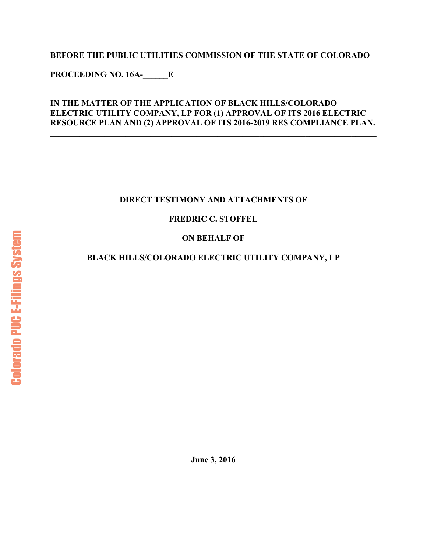#### **BEFORE THE PUBLIC UTILITIES COMMISSION OF THE STATE OF COLORADO**

**PROCEEDING NO. 16A-\_\_\_\_\_\_E** 

#### **IN THE MATTER OF THE APPLICATION OF BLACK HILLS/COLORADO ELECTRIC UTILITY COMPANY, LP FOR (1) APPROVAL OF ITS 2016 ELECTRIC RESOURCE PLAN AND (2) APPROVAL OF ITS 2016-2019 RES COMPLIANCE PLAN.**

**\_\_\_\_\_\_\_\_\_\_\_\_\_\_\_\_\_\_\_\_\_\_\_\_\_\_\_\_\_\_\_\_\_\_\_\_\_\_\_\_\_\_\_\_\_\_\_\_\_\_\_\_\_\_\_\_\_\_\_\_\_\_\_\_\_\_\_\_\_\_\_\_\_\_\_\_\_\_** 

**\_\_\_\_\_\_\_\_\_\_\_\_\_\_\_\_\_\_\_\_\_\_\_\_\_\_\_\_\_\_\_\_\_\_\_\_\_\_\_\_\_\_\_\_\_\_\_\_\_\_\_\_\_\_\_\_\_\_\_\_\_\_\_\_\_\_\_\_\_\_\_\_\_\_\_\_\_\_** 

#### **DIRECT TESTIMONY AND ATTACHMENTS OF**

#### **FREDRIC C. STOFFEL**

#### **ON BEHALF OF**

### **BLACK HILLS/COLORADO ELECTRIC UTILITY COMPANY, LP**

**June 3, 2016**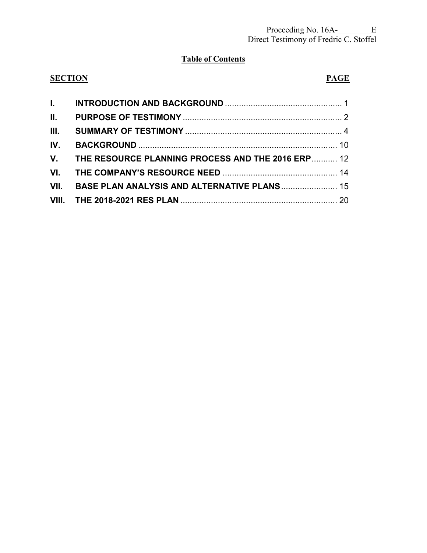### **Table of Contents**

| <b>SECTION</b> |                                                   | <b>PAGE</b> |
|----------------|---------------------------------------------------|-------------|
|                |                                                   |             |
| II.            |                                                   |             |
| III.           |                                                   |             |
| IV.            |                                                   |             |
| $V_{-}$        | THE RESOURCE PLANNING PROCESS AND THE 2016 ERP 12 |             |
| VI.            |                                                   |             |
|                | VII. BASE PLAN ANALYSIS AND ALTERNATIVE PLANS 15  |             |
|                |                                                   |             |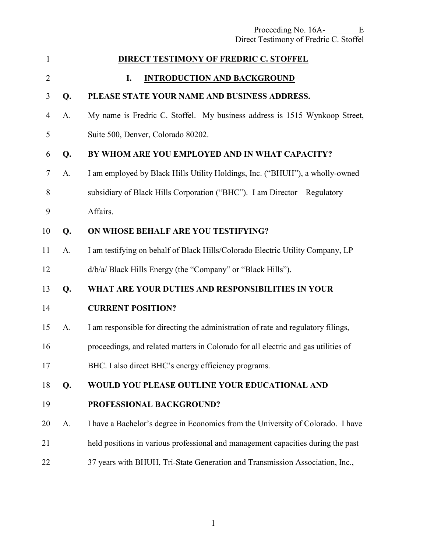<span id="page-2-0"></span>

| $\mathbf{1}$   |    | <b>DIRECT TESTIMONY OF FREDRIC C. STOFFEL</b>                                      |
|----------------|----|------------------------------------------------------------------------------------|
| $\overline{2}$ |    | <b>INTRODUCTION AND BACKGROUND</b><br>I.                                           |
| 3              | Q. | PLEASE STATE YOUR NAME AND BUSINESS ADDRESS.                                       |
| $\overline{4}$ | A. | My name is Fredric C. Stoffel. My business address is 1515 Wynkoop Street,         |
| 5              |    | Suite 500, Denver, Colorado 80202.                                                 |
| 6              | Q. | BY WHOM ARE YOU EMPLOYED AND IN WHAT CAPACITY?                                     |
| $\tau$         | A. | I am employed by Black Hills Utility Holdings, Inc. ("BHUH"), a wholly-owned       |
| 8              |    | subsidiary of Black Hills Corporation ("BHC"). I am Director - Regulatory          |
| 9              |    | Affairs.                                                                           |
| 10             | Q. | ON WHOSE BEHALF ARE YOU TESTIFYING?                                                |
| 11             | A. | I am testifying on behalf of Black Hills/Colorado Electric Utility Company, LP     |
| 12             |    | d/b/a/ Black Hills Energy (the "Company" or "Black Hills").                        |
| 13             | Q. | WHAT ARE YOUR DUTIES AND RESPONSIBILITIES IN YOUR                                  |
| 14             |    | <b>CURRENT POSITION?</b>                                                           |
| 15             | A. | I am responsible for directing the administration of rate and regulatory filings,  |
| 16             |    | proceedings, and related matters in Colorado for all electric and gas utilities of |
| 17             |    | BHC. I also direct BHC's energy efficiency programs.                               |
| 18             | Q. | WOULD YOU PLEASE OUTLINE YOUR EDUCATIONAL AND                                      |
| 19             |    | PROFESSIONAL BACKGROUND?                                                           |
| 20             | A. | I have a Bachelor's degree in Economics from the University of Colorado. I have    |
| 21             |    | held positions in various professional and management capacities during the past   |
| 22             |    | 37 years with BHUH, Tri-State Generation and Transmission Association, Inc.,       |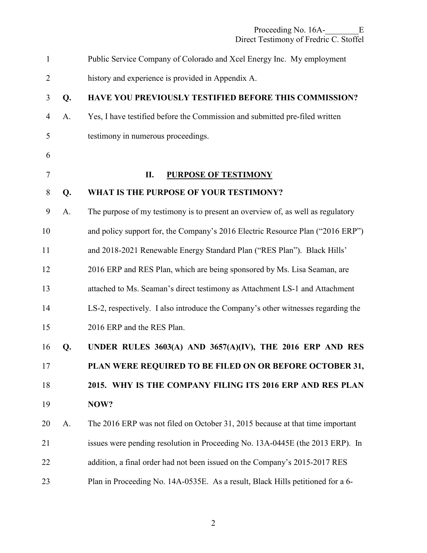<span id="page-3-0"></span>

| $\mathbf{1}$   |    | Public Service Company of Colorado and Xcel Energy Inc. My employment            |
|----------------|----|----------------------------------------------------------------------------------|
| $\overline{2}$ |    | history and experience is provided in Appendix A.                                |
| 3              | Q. | HAVE YOU PREVIOUSLY TESTIFIED BEFORE THIS COMMISSION?                            |
| $\overline{4}$ | A. | Yes, I have testified before the Commission and submitted pre-filed written      |
| 5              |    | testimony in numerous proceedings.                                               |
| 6              |    |                                                                                  |
| 7              |    | П.<br><b>PURPOSE OF TESTIMONY</b>                                                |
| $8\,$          | Q. | WHAT IS THE PURPOSE OF YOUR TESTIMONY?                                           |
| 9              | A. | The purpose of my testimony is to present an overview of, as well as regulatory  |
| 10             |    | and policy support for, the Company's 2016 Electric Resource Plan ("2016 ERP")   |
| 11             |    | and 2018-2021 Renewable Energy Standard Plan ("RES Plan"). Black Hills'          |
| 12             |    | 2016 ERP and RES Plan, which are being sponsored by Ms. Lisa Seaman, are         |
| 13             |    | attached to Ms. Seaman's direct testimony as Attachment LS-1 and Attachment      |
| 14             |    | LS-2, respectively. I also introduce the Company's other witnesses regarding the |
| 15             |    | 2016 ERP and the RES Plan.                                                       |
| 16             | Q. | UNDER RULES 3603(A) AND 3657(A)(IV), THE 2016 ERP AND RES                        |
| 17             |    | PLAN WERE REQUIRED TO BE FILED ON OR BEFORE OCTOBER 31,                          |
| 18             |    | 2015. WHY IS THE COMPANY FILING ITS 2016 ERP AND RES PLAN                        |
| 19             |    | NOW?                                                                             |
| 20             | A. | The 2016 ERP was not filed on October 31, 2015 because at that time important    |
| 21             |    | issues were pending resolution in Proceeding No. 13A-0445E (the 2013 ERP). In    |
| 22             |    | addition, a final order had not been issued on the Company's 2015-2017 RES       |
| 23             |    | Plan in Proceeding No. 14A-0535E. As a result, Black Hills petitioned for a 6-   |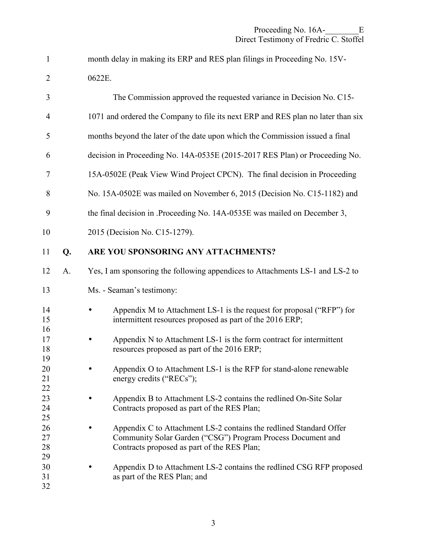| $\mathbf{1}$               |    | month delay in making its ERP and RES plan filings in Proceeding No. 15V-                                                                                                        |
|----------------------------|----|----------------------------------------------------------------------------------------------------------------------------------------------------------------------------------|
| $\overline{2}$             |    | 0622E.                                                                                                                                                                           |
| 3                          |    | The Commission approved the requested variance in Decision No. C15-                                                                                                              |
| 4                          |    | 1071 and ordered the Company to file its next ERP and RES plan no later than six                                                                                                 |
| 5                          |    | months beyond the later of the date upon which the Commission issued a final                                                                                                     |
| 6                          |    | decision in Proceeding No. 14A-0535E (2015-2017 RES Plan) or Proceeding No.                                                                                                      |
| 7                          |    | 15A-0502E (Peak View Wind Project CPCN). The final decision in Proceeding                                                                                                        |
| 8                          |    | No. 15A-0502E was mailed on November 6, 2015 (Decision No. C15-1182) and                                                                                                         |
| 9                          |    | the final decision in .Proceeding No. 14A-0535E was mailed on December 3,                                                                                                        |
| 10                         |    | 2015 (Decision No. C15-1279).                                                                                                                                                    |
| 11                         | Q. | ARE YOU SPONSORING ANY ATTACHMENTS?                                                                                                                                              |
| 12                         | A. | Yes, I am sponsoring the following appendices to Attachments LS-1 and LS-2 to                                                                                                    |
| 13                         |    | Ms. - Seaman's testimony:                                                                                                                                                        |
| 14<br>15<br>16             |    | Appendix M to Attachment LS-1 is the request for proposal ("RFP") for<br>intermittent resources proposed as part of the 2016 ERP;                                                |
| 17<br>18<br>19             |    | Appendix N to Attachment LS-1 is the form contract for intermittent<br>resources proposed as part of the 2016 ERP;                                                               |
| 20<br>21<br>22             |    | Appendix O to Attachment LS-1 is the RFP for stand-alone renewable<br>energy credits ("RECs");                                                                                   |
| 23<br>24                   |    | Appendix B to Attachment LS-2 contains the redlined On-Site Solar<br>Contracts proposed as part of the RES Plan;                                                                 |
| 25<br>26<br>27<br>28<br>29 |    | Appendix C to Attachment LS-2 contains the redlined Standard Offer<br>Community Solar Garden ("CSG") Program Process Document and<br>Contracts proposed as part of the RES Plan; |
| 30<br>31<br>32             |    | Appendix D to Attachment LS-2 contains the redlined CSG RFP proposed<br>as part of the RES Plan; and                                                                             |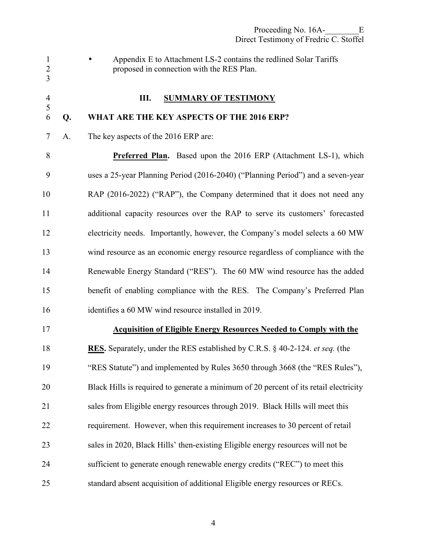<span id="page-5-0"></span>1 • Appendix E to Attachment LS-2 contains the redlined Solar Tariffs 2 proposed in connection with the RES Plan. 3 4 **III. SUMMARY OF TESTIMONY**  5 6 **Q. WHAT ARE THE KEY ASPECTS OF THE 2016 ERP?**  7 A. The key aspects of the 2016 ERP are: 8 **Preferred Plan.** Based upon the 2016 ERP (Attachment LS-1), which 9 uses a 25-year Planning Period (2016-2040) ("Planning Period") and a seven-year 10 RAP (2016-2022) ("RAP"), the Company determined that it does not need any 11 additional capacity resources over the RAP to serve its customers' forecasted 12 electricity needs. Importantly, however, the Company's model selects a 60 MW 13 wind resource as an economic energy resource regardless of compliance with the 14 Renewable Energy Standard ("RES"). The 60 MW wind resource has the added 15 benefit of enabling compliance with the RES. The Company's Preferred Plan 16 identifies a 60 MW wind resource installed in 2019. 17 **Acquisition of Eligible Energy Resources Needed to Comply with the**  18 **RES.** Separately, under the RES established by C.R.S. § 40-2-124. *et seq.* (the 19 "RES Statute") and implemented by Rules 3650 through 3668 (the "RES Rules"), 20 Black Hills is required to generate a minimum of 20 percent of its retail electricity 21 sales from Eligible energy resources through 2019. Black Hills will meet this 22 requirement. However, when this requirement increases to 30 percent of retail 23 sales in 2020, Black Hills' then-existing Eligible energy resources will not be 24 sufficient to generate enough renewable energy credits ("REC") to meet this 25 standard absent acquisition of additional Eligible energy resources or RECs.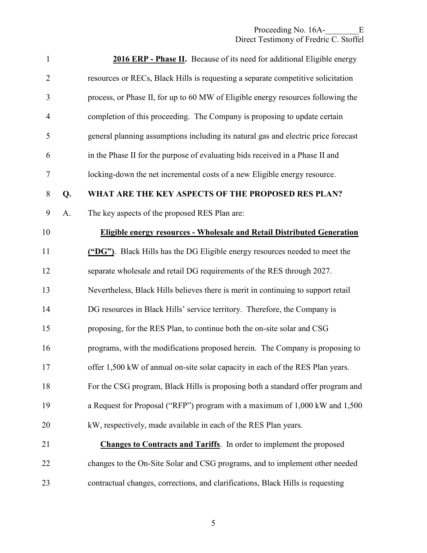| 1              |    | <b>2016 ERP - Phase II.</b> Because of its need for additional Eligible energy     |
|----------------|----|------------------------------------------------------------------------------------|
| $\overline{2}$ |    | resources or RECs, Black Hills is requesting a separate competitive solicitation   |
| 3              |    | process, or Phase II, for up to 60 MW of Eligible energy resources following the   |
| $\overline{4}$ |    | completion of this proceeding. The Company is proposing to update certain          |
| 5              |    | general planning assumptions including its natural gas and electric price forecast |
| 6              |    | in the Phase II for the purpose of evaluating bids received in a Phase II and      |
| 7              |    | locking-down the net incremental costs of a new Eligible energy resource.          |
| $8\,$          | Q. | WHAT ARE THE KEY ASPECTS OF THE PROPOSED RES PLAN?                                 |
| 9              | A. | The key aspects of the proposed RES Plan are:                                      |
| 10             |    | <b>Eligible energy resources - Wholesale and Retail Distributed Generation</b>     |
| 11             |    | ("DG"). Black Hills has the DG Eligible energy resources needed to meet the        |
| 12             |    | separate wholesale and retail DG requirements of the RES through 2027.             |
| 13             |    | Nevertheless, Black Hills believes there is merit in continuing to support retail  |
| 14             |    | DG resources in Black Hills' service territory. Therefore, the Company is          |
| 15             |    | proposing, for the RES Plan, to continue both the on-site solar and CSG            |
| 16             |    | programs, with the modifications proposed herein. The Company is proposing to      |
| 17             |    | offer 1,500 kW of annual on-site solar capacity in each of the RES Plan years.     |
| 18             |    | For the CSG program, Black Hills is proposing both a standard offer program and    |
| 19             |    | a Request for Proposal ("RFP") program with a maximum of 1,000 kW and 1,500        |
| 20             |    | kW, respectively, made available in each of the RES Plan years.                    |
| 21             |    | <b>Changes to Contracts and Tariffs.</b> In order to implement the proposed        |
| 22             |    | changes to the On-Site Solar and CSG programs, and to implement other needed       |
| 23             |    | contractual changes, corrections, and clarifications, Black Hills is requesting    |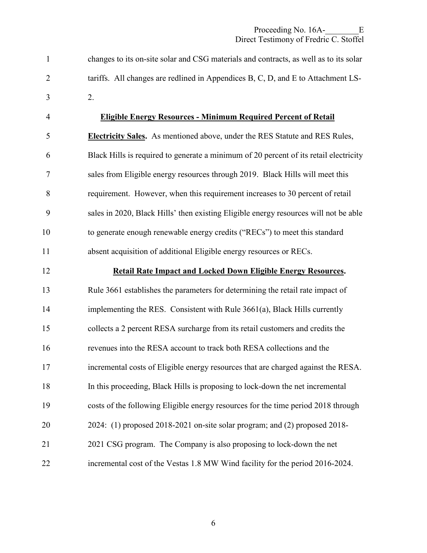1 changes to its on-site solar and CSG materials and contracts, as well as to its solar 2 tariffs. All changes are redlined in Appendices B, C, D, and E to Attachment LS-3 2.

# 4 **Eligible Energy Resources - Minimum Required Percent of Retail**  5 **Electricity Sales.** As mentioned above, under the RES Statute and RES Rules, 6 Black Hills is required to generate a minimum of 20 percent of its retail electricity 7 sales from Eligible energy resources through 2019. Black Hills will meet this 8 requirement. However, when this requirement increases to 30 percent of retail 9 sales in 2020, Black Hills' then existing Eligible energy resources will not be able 10 to generate enough renewable energy credits ("RECs") to meet this standard 11 absent acquisition of additional Eligible energy resources or RECs.

12 **Retail Rate Impact and Locked Down Eligible Energy Resources.**  13 Rule 3661 establishes the parameters for determining the retail rate impact of 14 implementing the RES. Consistent with Rule 3661(a), Black Hills currently 15 collects a 2 percent RESA surcharge from its retail customers and credits the 16 revenues into the RESA account to track both RESA collections and the 17 incremental costs of Eligible energy resources that are charged against the RESA. 18 In this proceeding, Black Hills is proposing to lock-down the net incremental 19 costs of the following Eligible energy resources for the time period 2018 through 20 2024: (1) proposed 2018-2021 on-site solar program; and (2) proposed 2018- 21 2021 CSG program. The Company is also proposing to lock-down the net 22 incremental cost of the Vestas 1.8 MW Wind facility for the period 2016-2024.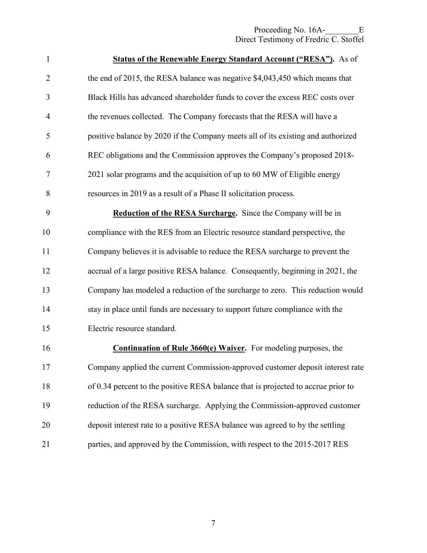| $\mathbf{1}$   | <b>Status of the Renewable Energy Standard Account ("RESA").</b> As of            |
|----------------|-----------------------------------------------------------------------------------|
| $\overline{2}$ | the end of 2015, the RESA balance was negative \$4,043,450 which means that       |
| 3              | Black Hills has advanced shareholder funds to cover the excess REC costs over     |
| $\overline{4}$ | the revenues collected. The Company forecasts that the RESA will have a           |
| 5              | positive balance by 2020 if the Company meets all of its existing and authorized  |
| 6              | REC obligations and the Commission approves the Company's proposed 2018-          |
| 7              | 2021 solar programs and the acquisition of up to 60 MW of Eligible energy         |
| 8              | resources in 2019 as a result of a Phase II solicitation process.                 |
| 9              | <b>Reduction of the RESA Surcharge.</b> Since the Company will be in              |
| 10             | compliance with the RES from an Electric resource standard perspective, the       |
| 11             | Company believes it is advisable to reduce the RESA surcharge to prevent the      |
| 12             | accrual of a large positive RESA balance. Consequently, beginning in 2021, the    |
| 13             | Company has modeled a reduction of the surcharge to zero. This reduction would    |
| 14             | stay in place until funds are necessary to support future compliance with the     |
| 15             | Electric resource standard.                                                       |
| 16             | <b>Continuation of Rule 3660(e) Waiver.</b> For modeling purposes, the            |
| 17             | Company applied the current Commission-approved customer deposit interest rate    |
| 18             | of 0.34 percent to the positive RESA balance that is projected to accrue prior to |
| 19             | reduction of the RESA surcharge. Applying the Commission-approved customer        |
| 20             | deposit interest rate to a positive RESA balance was agreed to by the settling    |
| 21             | parties, and approved by the Commission, with respect to the 2015-2017 RES        |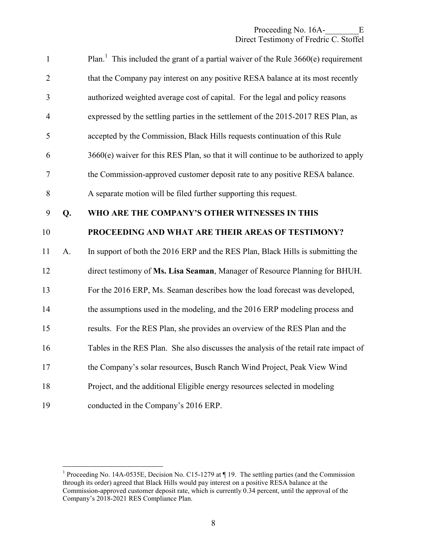| $\mathbf{1}$             |    | Plan. <sup>1</sup> This included the grant of a partial waiver of the Rule $3660(e)$ requirement |
|--------------------------|----|--------------------------------------------------------------------------------------------------|
| $\overline{2}$           |    | that the Company pay interest on any positive RESA balance at its most recently                  |
| 3                        |    | authorized weighted average cost of capital. For the legal and policy reasons                    |
| $\overline{4}$           |    | expressed by the settling parties in the settlement of the 2015-2017 RES Plan, as                |
| 5                        |    | accepted by the Commission, Black Hills requests continuation of this Rule                       |
| 6                        |    | 3660(e) waiver for this RES Plan, so that it will continue to be authorized to apply             |
| $\overline{\mathcal{L}}$ |    | the Commission-approved customer deposit rate to any positive RESA balance.                      |
| 8                        |    | A separate motion will be filed further supporting this request.                                 |
| 9                        | Q. | WHO ARE THE COMPANY'S OTHER WITNESSES IN THIS                                                    |
| 10                       |    | PROCEEDING AND WHAT ARE THEIR AREAS OF TESTIMONY?                                                |
| 11                       | A. | In support of both the 2016 ERP and the RES Plan, Black Hills is submitting the                  |
| 12                       |    | direct testimony of Ms. Lisa Seaman, Manager of Resource Planning for BHUH.                      |
| 13                       |    | For the 2016 ERP, Ms. Seaman describes how the load forecast was developed,                      |
| 14                       |    | the assumptions used in the modeling, and the 2016 ERP modeling process and                      |
| 15                       |    | results. For the RES Plan, she provides an overview of the RES Plan and the                      |
| 16                       |    | Tables in the RES Plan. She also discusses the analysis of the retail rate impact of             |
| 17                       |    | the Company's solar resources, Busch Ranch Wind Project, Peak View Wind                          |
| 18                       |    | Project, and the additional Eligible energy resources selected in modeling                       |
|                          |    |                                                                                                  |

<sup>&</sup>lt;sup>1</sup> Proceeding No. 14A-0535E, Decision No. C15-1279 at ¶ 19. The settling parties (and the Commission through its order) agreed that Black Hills would pay interest on a positive RESA balance at the Commission-approved customer deposit rate, which is currently 0.34 percent, until the approval of the Company's 2018-2021 RES Compliance Plan.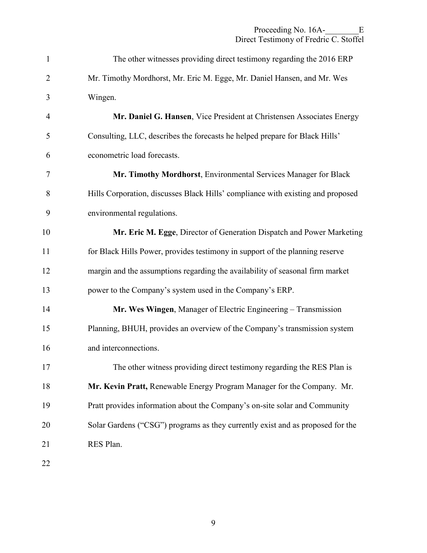| $\mathbf{1}$   | The other witnesses providing direct testimony regarding the 2016 ERP           |
|----------------|---------------------------------------------------------------------------------|
| $\overline{2}$ | Mr. Timothy Mordhorst, Mr. Eric M. Egge, Mr. Daniel Hansen, and Mr. Wes         |
| 3              | Wingen.                                                                         |
| $\overline{4}$ | Mr. Daniel G. Hansen, Vice President at Christensen Associates Energy           |
| 5              | Consulting, LLC, describes the forecasts he helped prepare for Black Hills'     |
| 6              | econometric load forecasts.                                                     |
| 7              | Mr. Timothy Mordhorst, Environmental Services Manager for Black                 |
| 8              | Hills Corporation, discusses Black Hills' compliance with existing and proposed |
| 9              | environmental regulations.                                                      |
| 10             | Mr. Eric M. Egge, Director of Generation Dispatch and Power Marketing           |
| 11             | for Black Hills Power, provides testimony in support of the planning reserve    |
| 12             | margin and the assumptions regarding the availability of seasonal firm market   |
| 13             | power to the Company's system used in the Company's ERP.                        |
| 14             | Mr. Wes Wingen, Manager of Electric Engineering – Transmission                  |
| 15             | Planning, BHUH, provides an overview of the Company's transmission system       |
| 16             | and interconnections.                                                           |
| 17             | The other witness providing direct testimony regarding the RES Plan is          |
| 18             | Mr. Kevin Pratt, Renewable Energy Program Manager for the Company. Mr.          |
| 19             | Pratt provides information about the Company's on-site solar and Community      |
| 20             | Solar Gardens ("CSG") programs as they currently exist and as proposed for the  |
| 21             | RES Plan.                                                                       |
| 22             |                                                                                 |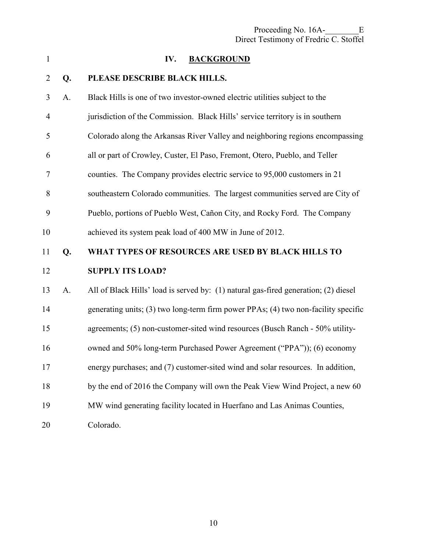<span id="page-11-0"></span>

| $\mathbf{1}$   |    | <b>BACKGROUND</b><br>IV.                                                            |
|----------------|----|-------------------------------------------------------------------------------------|
| $\overline{2}$ | Q. | PLEASE DESCRIBE BLACK HILLS.                                                        |
| 3              | A. | Black Hills is one of two investor-owned electric utilities subject to the          |
| 4              |    | jurisdiction of the Commission. Black Hills' service territory is in southern       |
| 5              |    | Colorado along the Arkansas River Valley and neighboring regions encompassing       |
| 6              |    | all or part of Crowley, Custer, El Paso, Fremont, Otero, Pueblo, and Teller         |
| 7              |    | counties. The Company provides electric service to 95,000 customers in 21           |
| 8              |    | southeastern Colorado communities. The largest communities served are City of       |
| 9              |    | Pueblo, portions of Pueblo West, Cañon City, and Rocky Ford. The Company            |
| 10             |    | achieved its system peak load of 400 MW in June of 2012.                            |
| 11             | Q. | WHAT TYPES OF RESOURCES ARE USED BY BLACK HILLS TO                                  |
| 12             |    | <b>SUPPLY ITS LOAD?</b>                                                             |
| 13             | A. | All of Black Hills' load is served by: (1) natural gas-fired generation; (2) diesel |
| 14             |    | generating units; (3) two long-term firm power PPAs; (4) two non-facility specific  |
| 15             |    | agreements; (5) non-customer-sited wind resources (Busch Ranch - 50% utility-       |
| 16             |    | owned and 50% long-term Purchased Power Agreement ("PPA")); (6) economy             |
| 17             |    | energy purchases; and (7) customer-sited wind and solar resources. In addition,     |
| 18             |    | by the end of 2016 the Company will own the Peak View Wind Project, a new 60        |
| 19             |    | MW wind generating facility located in Huerfano and Las Animas Counties,            |
| 20             |    | Colorado.                                                                           |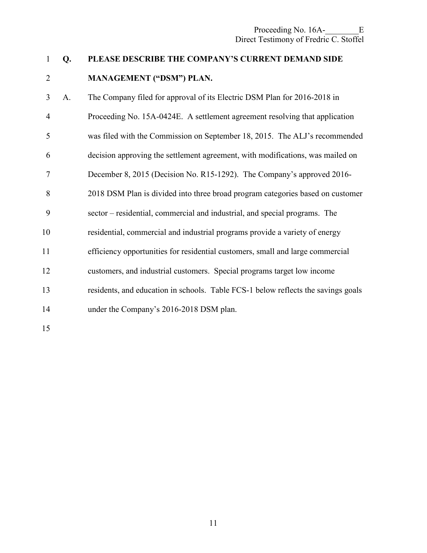### 1 **Q. PLEASE DESCRIBE THE COMPANY'S CURRENT DEMAND SIDE**  2 **MANAGEMENT ("DSM") PLAN.**

3 A. The Company filed for approval of its Electric DSM Plan for 2016-2018 in 4 Proceeding No. 15A-0424E. A settlement agreement resolving that application 5 was filed with the Commission on September 18, 2015. The ALJ's recommended 6 decision approving the settlement agreement, with modifications, was mailed on 7 December 8, 2015 (Decision No. R15-1292). The Company's approved 2016- 8 2018 DSM Plan is divided into three broad program categories based on customer 9 sector – residential, commercial and industrial, and special programs. The 10 residential, commercial and industrial programs provide a variety of energy 11 efficiency opportunities for residential customers, small and large commercial 12 customers, and industrial customers. Special programs target low income 13 residents, and education in schools. Table FCS-1 below reflects the savings goals 14 under the Company's 2016-2018 DSM plan. 15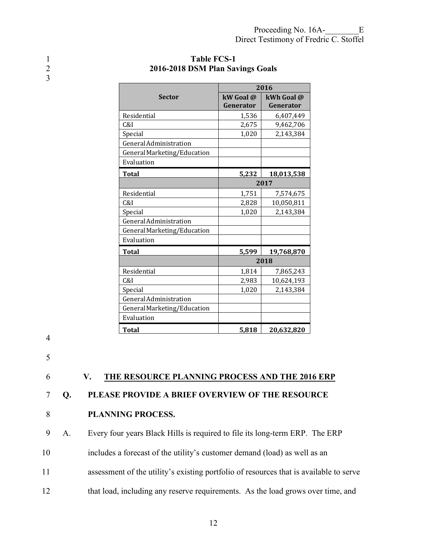|                             | 2016      |            |
|-----------------------------|-----------|------------|
| <b>Sector</b>               | kW Goal @ | kWh Goal @ |
|                             | Generator | Generator  |
| Residential                 | 1,536     | 6,407,449  |
| C&I                         | 2,675     | 9,462,706  |
| Special                     | 1,020     | 2,143,384  |
| General Administration      |           |            |
| General Marketing/Education |           |            |
| Evaluation                  |           |            |
| <b>Total</b>                | 5,232     | 18,013,538 |
|                             |           | 2017       |
| Residential                 | 1,751     | 7,574,675  |
| C&I                         | 2,828     | 10,050,811 |
| Special                     | 1,020     | 2,143,384  |
| General Administration      |           |            |
| General Marketing/Education |           |            |
| Evaluation                  |           |            |
| <b>Total</b>                | 5,599     | 19,768,870 |
|                             | 2018      |            |
| Residential                 | 1,814     | 7,865,243  |
| C&I                         | 2,983     | 10,624,193 |
| Special                     | 1,020     | 2,143,384  |
| General Administration      |           |            |
| General Marketing/Education |           |            |
| Evaluation                  |           |            |
| <b>Total</b>                | 5,818     | 20,632,820 |

#### <span id="page-13-0"></span>1 **Table FCS-1**<br>2016-2018 DSM Plan Sa 2 **2016-2018 DSM Plan Savings Goals**

4

3

5

6 **V. THE RESOURCE PLANNING PROCESS AND THE 2016 ERP** 

7 **Q. PLEASE PROVIDE A BRIEF OVERVIEW OF THE RESOURCE** 

#### 8 **PLANNING PROCESS.**

9 A. Every four years Black Hills is required to file its long-term ERP. The ERP

10 includes a forecast of the utility's customer demand (load) as well as an

- 11 assessment of the utility's existing portfolio of resources that is available to serve
- 12 that load, including any reserve requirements. As the load grows over time, and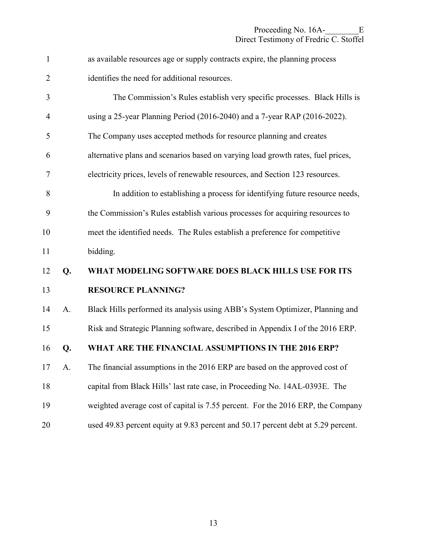| $\mathbf{1}$   |    | as available resources age or supply contracts expire, the planning process      |
|----------------|----|----------------------------------------------------------------------------------|
| $\overline{2}$ |    | identifies the need for additional resources.                                    |
| 3              |    | The Commission's Rules establish very specific processes. Black Hills is         |
| 4              |    | using a 25-year Planning Period (2016-2040) and a 7-year RAP (2016-2022).        |
| 5              |    | The Company uses accepted methods for resource planning and creates              |
| 6              |    | alternative plans and scenarios based on varying load growth rates, fuel prices, |
| 7              |    | electricity prices, levels of renewable resources, and Section 123 resources.    |
| 8              |    | In addition to establishing a process for identifying future resource needs,     |
| 9              |    | the Commission's Rules establish various processes for acquiring resources to    |
| 10             |    | meet the identified needs. The Rules establish a preference for competitive      |
| 11             |    | bidding.                                                                         |
| 12             | Q. | WHAT MODELING SOFTWARE DOES BLACK HILLS USE FOR ITS                              |
| 13             |    | <b>RESOURCE PLANNING?</b>                                                        |
| 14             | A. | Black Hills performed its analysis using ABB's System Optimizer, Planning and    |
| 15             |    | Risk and Strategic Planning software, described in Appendix I of the 2016 ERP.   |
| 16             | Q. | WHAT ARE THE FINANCIAL ASSUMPTIONS IN THE 2016 ERP?                              |
| 17             | A. | The financial assumptions in the 2016 ERP are based on the approved cost of      |

- 18 capital from Black Hills' last rate case, in Proceeding No. 14AL-0393E. The
- 19 weighted average cost of capital is 7.55 percent. For the 2016 ERP, the Company
- 20 used 49.83 percent equity at 9.83 percent and 50.17 percent debt at 5.29 percent.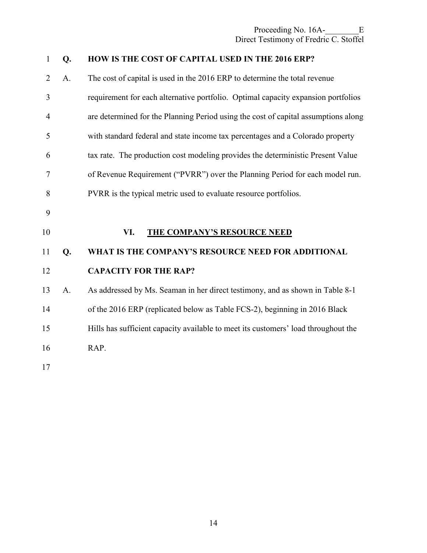<span id="page-15-0"></span>

| $\mathbf{1}$   | Q. | HOW IS THE COST OF CAPITAL USED IN THE 2016 ERP?                                   |
|----------------|----|------------------------------------------------------------------------------------|
| $\overline{2}$ | A. | The cost of capital is used in the 2016 ERP to determine the total revenue         |
| 3              |    | requirement for each alternative portfolio. Optimal capacity expansion portfolios  |
| $\overline{4}$ |    | are determined for the Planning Period using the cost of capital assumptions along |
| 5              |    | with standard federal and state income tax percentages and a Colorado property     |
| 6              |    | tax rate. The production cost modeling provides the deterministic Present Value    |
| $\tau$         |    | of Revenue Requirement ("PVRR") over the Planning Period for each model run.       |
| 8              |    | PVRR is the typical metric used to evaluate resource portfolios.                   |
| 9              |    |                                                                                    |
| 10             |    | VI.<br><b>THE COMPANY'S RESOURCE NEED</b>                                          |
| 11             | Q. | WHAT IS THE COMPANY'S RESOURCE NEED FOR ADDITIONAL                                 |
| 12             |    | <b>CAPACITY FOR THE RAP?</b>                                                       |
| 13             | A. | As addressed by Ms. Seaman in her direct testimony, and as shown in Table 8-1      |
| 14             |    | of the 2016 ERP (replicated below as Table FCS-2), beginning in 2016 Black         |
| 15             |    | Hills has sufficient capacity available to meet its customers' load throughout the |
| 16             |    | RAP.                                                                               |
| 17             |    |                                                                                    |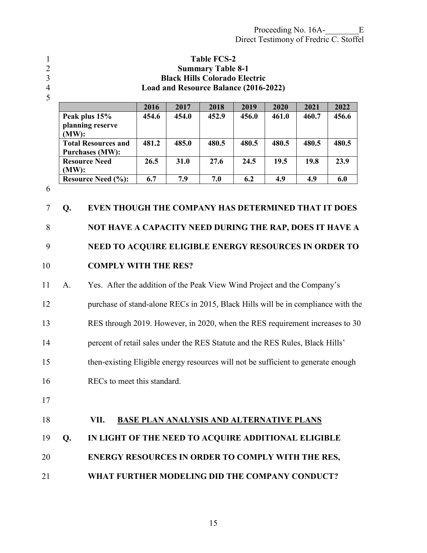- 
- 

<span id="page-16-0"></span>**Table FCS-2 Summary Table 8-1 Black Hills Colorado Electric Load and Resource Balance (2016-2022)** 

5

|                            | 2016  | 2017        | 2018  | 2019  | 2020  | 2021  | 2022  |
|----------------------------|-------|-------------|-------|-------|-------|-------|-------|
| Peak plus 15%              | 454.6 | 454.0       | 452.9 | 456.0 | 461.0 | 460.7 | 456.6 |
| planning reserve           |       |             |       |       |       |       |       |
| $(MW)$ :                   |       |             |       |       |       |       |       |
| <b>Total Resources and</b> | 481.2 | 485.0       | 480.5 | 480.5 | 480.5 | 480.5 | 480.5 |
| <b>Purchases (MW):</b>     |       |             |       |       |       |       |       |
| <b>Resource Need</b>       | 26.5  | <b>31.0</b> | 27.6  | 24.5  | 19.5  | 19.8  | 23.9  |
| $(MW)$ :                   |       |             |       |       |       |       |       |
| <b>Resource Need (%):</b>  | 6.7   | 7.9         | 7.0   | 6.2   | 4.9   | 4.9   | 6.0   |

6

**Q. EVEN THOUGH THE COMPANY HAS DETERMINED THAT IT DOES NOT HAVE A CAPACITY NEED DURING THE RAP, DOES IT HAVE A NEED TO ACQUIRE ELIGIBLE ENERGY RESOURCES IN ORDER TO COMPLY WITH THE RES?** 

11 A. Yes. After the addition of the Peak View Wind Project and the Company's 12 purchase of stand-alone RECs in 2015, Black Hills will be in compliance with the 13 RES through 2019. However, in 2020, when the RES requirement increases to 30 14 percent of retail sales under the RES Statute and the RES Rules, Black Hills' 15 then-existing Eligible energy resources will not be sufficient to generate enough 16 RECs to meet this standard. 17

**VII. BASE PLAN ANALYSIS AND ALTERNATIVE PLANS Q. IN LIGHT OF THE NEED TO ACQUIRE ADDITIONAL ELIGIBLE ENERGY RESOURCES IN ORDER TO COMPLY WITH THE RES, WHAT FURTHER MODELING DID THE COMPANY CONDUCT?**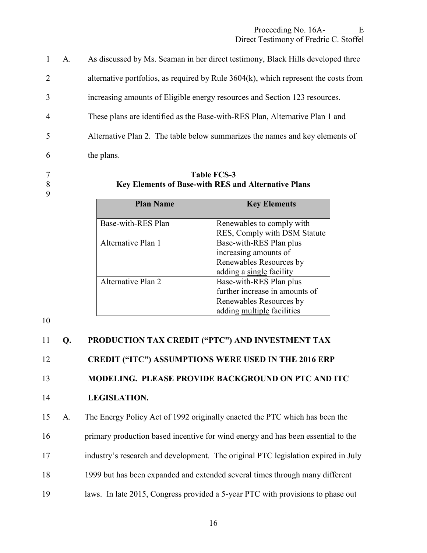|                | A. | As discussed by Ms. Seaman in her direct testimony, Black Hills developed three        |
|----------------|----|----------------------------------------------------------------------------------------|
| 2              |    | alternative portfolios, as required by Rule $3604(k)$ , which represent the costs from |
| 3              |    | increasing amounts of Eligible energy resources and Section 123 resources.             |
| $\overline{4}$ |    | These plans are identified as the Base-with-RES Plan, Alternative Plan 1 and           |
| 5              |    | Alternative Plan 2. The table below summarizes the names and key elements of           |
| 6              |    | the plans.                                                                             |

9

#### 7 **Table FCS-3**  8 **Key Elements of Base-with RES and Alternative Plans**

| <b>Plan Name</b>   | <b>Key Elements</b>            |
|--------------------|--------------------------------|
| Base-with-RES Plan | Renewables to comply with      |
|                    | RES, Comply with DSM Statute   |
| Alternative Plan 1 | Base-with-RES Plan plus        |
|                    | increasing amounts of          |
|                    | Renewables Resources by        |
|                    | adding a single facility       |
| Alternative Plan 2 | Base-with-RES Plan plus        |
|                    | further increase in amounts of |
|                    | Renewables Resources by        |
|                    | adding multiple facilities     |

10

# 11 **Q. PRODUCTION TAX CREDIT ("PTC") AND INVESTMENT TAX**  12 **CREDIT ("ITC") ASSUMPTIONS WERE USED IN THE 2016 ERP**  13 **MODELING. PLEASE PROVIDE BACKGROUND ON PTC AND ITC**  14 **LEGISLATION.**  15 A. The Energy Policy Act of 1992 originally enacted the PTC which has been the 16 primary production based incentive for wind energy and has been essential to the 17 industry's research and development. The original PTC legislation expired in July 18 1999 but has been expanded and extended several times through many different 19 laws. In late 2015, Congress provided a 5-year PTC with provisions to phase out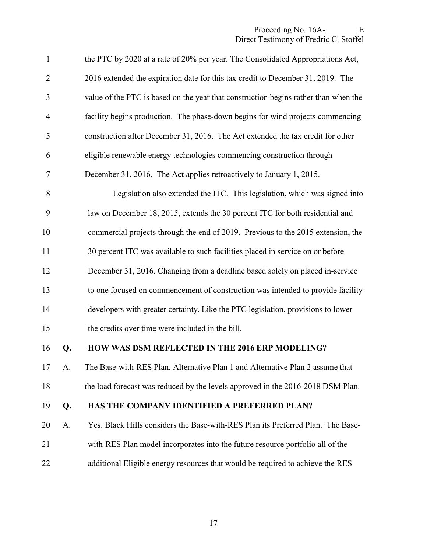| $\mathbf{1}$   |    | the PTC by 2020 at a rate of 20% per year. The Consolidated Appropriations Act,     |
|----------------|----|-------------------------------------------------------------------------------------|
| $\overline{2}$ |    | 2016 extended the expiration date for this tax credit to December 31, 2019. The     |
| 3              |    | value of the PTC is based on the year that construction begins rather than when the |
| $\overline{4}$ |    | facility begins production. The phase-down begins for wind projects commencing      |
| $\mathfrak s$  |    | construction after December 31, 2016. The Act extended the tax credit for other     |
| 6              |    | eligible renewable energy technologies commencing construction through              |
| $\overline{7}$ |    | December 31, 2016. The Act applies retroactively to January 1, 2015.                |
| 8              |    | Legislation also extended the ITC. This legislation, which was signed into          |
| 9              |    | law on December 18, 2015, extends the 30 percent ITC for both residential and       |
| 10             |    | commercial projects through the end of 2019. Previous to the 2015 extension, the    |
| 11             |    | 30 percent ITC was available to such facilities placed in service on or before      |
| 12             |    | December 31, 2016. Changing from a deadline based solely on placed in-service       |
| 13             |    | to one focused on commencement of construction was intended to provide facility     |
| 14             |    | developers with greater certainty. Like the PTC legislation, provisions to lower    |
| 15             |    | the credits over time were included in the bill.                                    |
| 16             | Q. | HOW WAS DSM REFLECTED IN THE 2016 ERP MODELING?                                     |
| 17             | A. | The Base-with-RES Plan, Alternative Plan 1 and Alternative Plan 2 assume that       |
| 18             |    | the load forecast was reduced by the levels approved in the 2016-2018 DSM Plan.     |
| 19             | Q. | HAS THE COMPANY IDENTIFIED A PREFERRED PLAN?                                        |
| 20             | A. | Yes. Black Hills considers the Base-with-RES Plan its Preferred Plan. The Base-     |
| 21             |    | with-RES Plan model incorporates into the future resource portfolio all of the      |
| 22             |    | additional Eligible energy resources that would be required to achieve the RES      |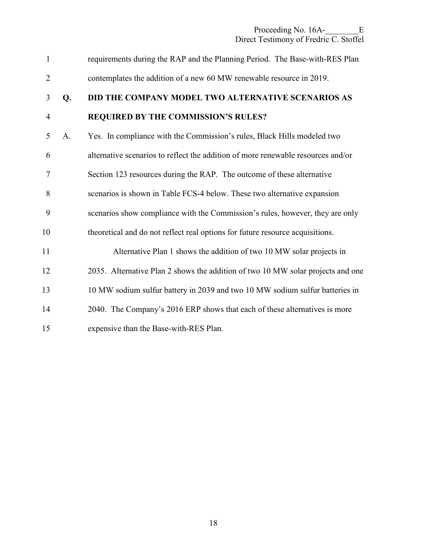| $\mathbf{1}$   |    | requirements during the RAP and the Planning Period. The Base-with-RES Plan      |
|----------------|----|----------------------------------------------------------------------------------|
| $\overline{2}$ |    | contemplates the addition of a new 60 MW renewable resource in 2019.             |
| 3              | Q. | DID THE COMPANY MODEL TWO ALTERNATIVE SCENARIOS AS                               |
| $\overline{4}$ |    | REQUIRED BY THE COMMISSION'S RULES?                                              |
| 5              | A. | Yes. In compliance with the Commission's rules, Black Hills modeled two          |
| 6              |    | alternative scenarios to reflect the addition of more renewable resources and/or |
| 7              |    | Section 123 resources during the RAP. The outcome of these alternative           |
| 8              |    | scenarios is shown in Table FCS-4 below. These two alternative expansion         |
| 9              |    | scenarios show compliance with the Commission's rules, however, they are only    |
| 10             |    | theoretical and do not reflect real options for future resource acquisitions.    |
| 11             |    | Alternative Plan 1 shows the addition of two 10 MW solar projects in             |
| 12             |    | 2035. Alternative Plan 2 shows the addition of two 10 MW solar projects and one  |
| 13             |    | 10 MW sodium sulfur battery in 2039 and two 10 MW sodium sulfur batteries in     |
| 14             |    | 2040. The Company's 2016 ERP shows that each of these alternatives is more       |
| 15             |    | expensive than the Base-with-RES Plan.                                           |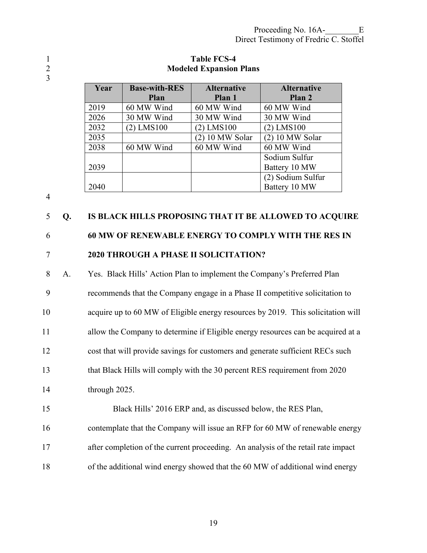3

#### 1 **Table FCS-4**<br>2 **Modeled Expansion** 2 **Modeled Expansion Plans**

| Year | <b>Base-with-RES</b> | <b>Alternative</b> | <b>Alternative</b> |
|------|----------------------|--------------------|--------------------|
|      | <b>Plan</b>          | Plan 1             | Plan 2             |
| 2019 | 60 MW Wind           | 60 MW Wind         | 60 MW Wind         |
| 2026 | 30 MW Wind           | 30 MW Wind         | 30 MW Wind         |
| 2032 | $(2)$ LMS100         | $(2)$ LMS100       | $(2)$ LMS100       |
| 2035 |                      | $(2)$ 10 MW Solar  | $(2)$ 10 MW Solar  |
| 2038 | 60 MW Wind           | 60 MW Wind         | 60 MW Wind         |
|      |                      |                    | Sodium Sulfur      |
| 2039 |                      |                    | Battery 10 MW      |
|      |                      |                    | (2) Sodium Sulfur  |
| 2040 |                      |                    | Battery 10 MW      |

4

### 5 **Q. IS BLACK HILLS PROPOSING THAT IT BE ALLOWED TO ACQUIRE**

## 6 **60 MW OF RENEWABLE ENERGY TO COMPLY WITH THE RES IN**  7 **2020 THROUGH A PHASE II SOLICITATION?**

- 8 A. Yes. Black Hills' Action Plan to implement the Company's Preferred Plan 9 recommends that the Company engage in a Phase II competitive solicitation to 10 acquire up to 60 MW of Eligible energy resources by 2019. This solicitation will 11 allow the Company to determine if Eligible energy resources can be acquired at a 12 cost that will provide savings for customers and generate sufficient RECs such 13 that Black Hills will comply with the 30 percent RES requirement from 2020 14 through 2025. 15 Black Hills' 2016 ERP and, as discussed below, the RES Plan,
- 16 contemplate that the Company will issue an RFP for 60 MW of renewable energy 17 after completion of the current proceeding. An analysis of the retail rate impact
- 18 of the additional wind energy showed that the 60 MW of additional wind energy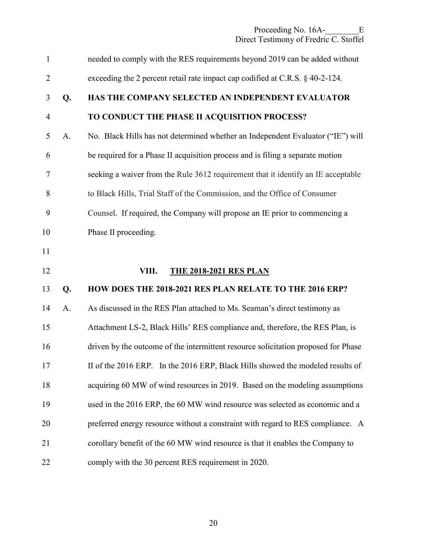<span id="page-21-0"></span>

| $\mathbf{1}$   |    | needed to comply with the RES requirements beyond 2019 can be added without        |
|----------------|----|------------------------------------------------------------------------------------|
| $\overline{2}$ |    | exceeding the 2 percent retail rate impact cap codified at C.R.S. § 40-2-124.      |
| 3              | Q. | HAS THE COMPANY SELECTED AN INDEPENDENT EVALUATOR                                  |
| $\overline{4}$ |    | TO CONDUCT THE PHASE II ACQUISITION PROCESS?                                       |
| 5              | A. | No. Black Hills has not determined whether an Independent Evaluator ("IE") will    |
| 6              |    | be required for a Phase II acquisition process and is filing a separate motion     |
| 7              |    | seeking a waiver from the Rule 3612 requirement that it identify an IE acceptable  |
| 8              |    | to Black Hills, Trial Staff of the Commission, and the Office of Consumer          |
| 9              |    | Counsel. If required, the Company will propose an IE prior to commencing a         |
| 10             |    | Phase II proceeding.                                                               |
| 11             |    |                                                                                    |
|                |    |                                                                                    |
| 12             |    | VIII.<br><b>THE 2018-2021 RES PLAN</b>                                             |
| 13             | Q. | HOW DOES THE 2018-2021 RES PLAN RELATE TO THE 2016 ERP?                            |
| 14             | A. | As discussed in the RES Plan attached to Ms. Seaman's direct testimony as          |
| 15             |    | Attachment LS-2, Black Hills' RES compliance and, therefore, the RES Plan, is      |
| 16             |    | driven by the outcome of the intermittent resource solicitation proposed for Phase |
| 17             |    | II of the 2016 ERP. In the 2016 ERP, Black Hills showed the modeled results of     |
| 18             |    | acquiring 60 MW of wind resources in 2019. Based on the modeling assumptions       |
| 19             |    | used in the 2016 ERP, the 60 MW wind resource was selected as economic and a       |
| 20             |    | preferred energy resource without a constraint with regard to RES compliance. A    |
| 21             |    | corollary benefit of the 60 MW wind resource is that it enables the Company to     |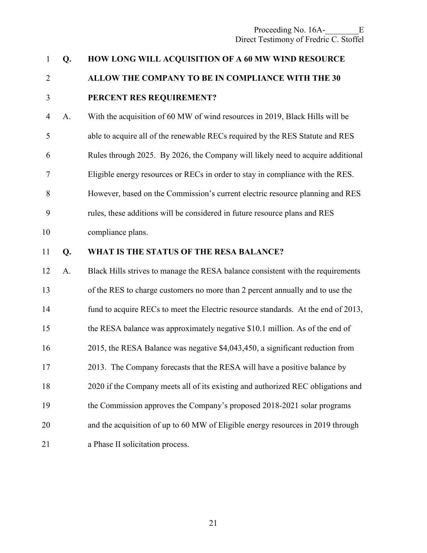| $\mathbf{1}$   | Q. | HOW LONG WILL ACQUISITION OF A 60 MW WIND RESOURCE                                |
|----------------|----|-----------------------------------------------------------------------------------|
| $\overline{2}$ |    | ALLOW THE COMPANY TO BE IN COMPLIANCE WITH THE 30                                 |
| 3              |    | PERCENT RES REQUIREMENT?                                                          |
| $\overline{4}$ | A. | With the acquisition of 60 MW of wind resources in 2019, Black Hills will be      |
| 5              |    | able to acquire all of the renewable RECs required by the RES Statute and RES     |
| 6              |    | Rules through 2025. By 2026, the Company will likely need to acquire additional   |
| $\tau$         |    | Eligible energy resources or RECs in order to stay in compliance with the RES.    |
| 8              |    | However, based on the Commission's current electric resource planning and RES     |
| 9              |    | rules, these additions will be considered in future resource plans and RES        |
| 10             |    | compliance plans.                                                                 |
| 11             | Q. | WHAT IS THE STATUS OF THE RESA BALANCE?                                           |
| 12             | A. | Black Hills strives to manage the RESA balance consistent with the requirements   |
| 13             |    | of the RES to charge customers no more than 2 percent annually and to use the     |
| 14             |    | fund to acquire RECs to meet the Electric resource standards. At the end of 2013, |
| 15             |    | the RESA balance was approximately negative \$10.1 million. As of the end of      |
| 16             |    | 2015, the RESA Balance was negative \$4,043,450, a significant reduction from     |
| 17             |    | 2013. The Company forecasts that the RESA will have a positive balance by         |
| 18             |    | 2020 if the Company meets all of its existing and authorized REC obligations and  |
| 19             |    | the Commission approves the Company's proposed 2018-2021 solar programs           |
| 20             |    | and the acquisition of up to 60 MW of Eligible energy resources in 2019 through   |
| 21             |    | a Phase II solicitation process.                                                  |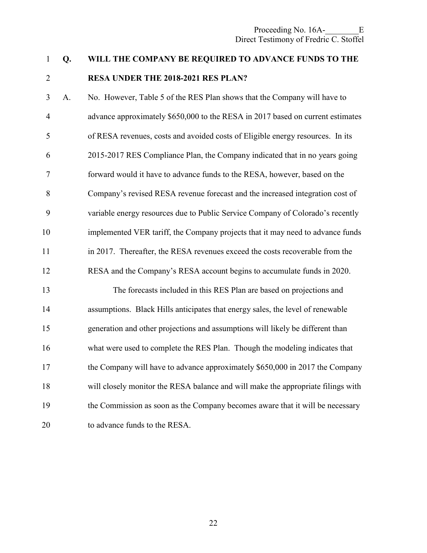#### 1 **Q. WILL THE COMPANY BE REQUIRED TO ADVANCE FUNDS TO THE**

# 2 **RESA UNDER THE 2018-2021 RES PLAN?**

3 A. No. However, Table 5 of the RES Plan shows that the Company will have to 4 advance approximately \$650,000 to the RESA in 2017 based on current estimates 5 of RESA revenues, costs and avoided costs of Eligible energy resources. In its 6 2015-2017 RES Compliance Plan, the Company indicated that in no years going 7 forward would it have to advance funds to the RESA, however, based on the 8 Company's revised RESA revenue forecast and the increased integration cost of 9 variable energy resources due to Public Service Company of Colorado's recently 10 implemented VER tariff, the Company projects that it may need to advance funds 11 in 2017. Thereafter, the RESA revenues exceed the costs recoverable from the 12 RESA and the Company's RESA account begins to accumulate funds in 2020.

13 The forecasts included in this RES Plan are based on projections and 14 assumptions. Black Hills anticipates that energy sales, the level of renewable 15 generation and other projections and assumptions will likely be different than 16 what were used to complete the RES Plan. Though the modeling indicates that 17 the Company will have to advance approximately \$650,000 in 2017 the Company 18 will closely monitor the RESA balance and will make the appropriate filings with 19 the Commission as soon as the Company becomes aware that it will be necessary 20 to advance funds to the RESA.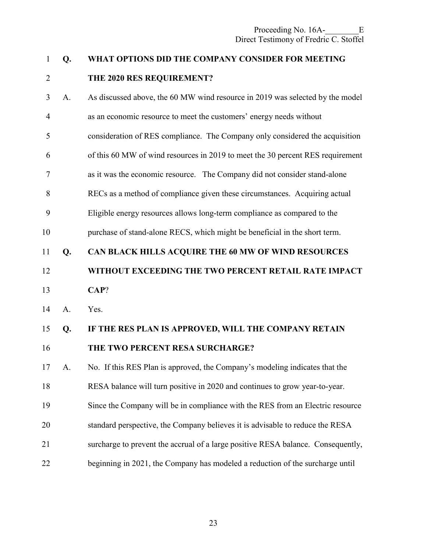#### 1 **Q. WHAT OPTIONS DID THE COMPANY CONSIDER FOR MEETING**

### 2 **THE 2020 RES REQUIREMENT?**

3 A. As discussed above, the 60 MW wind resource in 2019 was selected by the model 4 as an economic resource to meet the customers' energy needs without 5 consideration of RES compliance. The Company only considered the acquisition 6 of this 60 MW of wind resources in 2019 to meet the 30 percent RES requirement 7 as it was the economic resource. The Company did not consider stand-alone 8 RECs as a method of compliance given these circumstances. Acquiring actual 9 Eligible energy resources allows long-term compliance as compared to the 10 purchase of stand-alone RECS, which might be beneficial in the short term. 11 **Q. CAN BLACK HILLS ACQUIRE THE 60 MW OF WIND RESOURCES**  12 **WITHOUT EXCEEDING THE TWO PERCENT RETAIL RATE IMPACT**  13 **CAP**? 14 A. Yes. 15 **Q. IF THE RES PLAN IS APPROVED, WILL THE COMPANY RETAIN**  16 **THE TWO PERCENT RESA SURCHARGE?**  17 A. No. If this RES Plan is approved, the Company's modeling indicates that the

18 RESA balance will turn positive in 2020 and continues to grow year-to-year.

- 19 Since the Company will be in compliance with the RES from an Electric resource
- 20 standard perspective, the Company believes it is advisable to reduce the RESA
- 21 surcharge to prevent the accrual of a large positive RESA balance. Consequently,
- 22 beginning in 2021, the Company has modeled a reduction of the surcharge until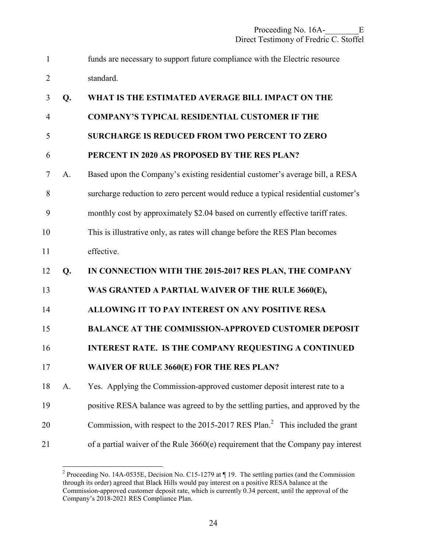| $\mathbf{1}$   |    | funds are necessary to support future compliance with the Electric resource              |
|----------------|----|------------------------------------------------------------------------------------------|
| $\overline{2}$ |    | standard.                                                                                |
| 3              | Q. | WHAT IS THE ESTIMATED AVERAGE BILL IMPACT ON THE                                         |
| 4              |    | <b>COMPANY'S TYPICAL RESIDENTIAL CUSTOMER IF THE</b>                                     |
| 5              |    | <b>SURCHARGE IS REDUCED FROM TWO PERCENT TO ZERO</b>                                     |
| 6              |    | PERCENT IN 2020 AS PROPOSED BY THE RES PLAN?                                             |
| $\overline{7}$ | A. | Based upon the Company's existing residential customer's average bill, a RESA            |
| 8              |    | surcharge reduction to zero percent would reduce a typical residential customer's        |
| 9              |    | monthly cost by approximately \$2.04 based on currently effective tariff rates.          |
| 10             |    | This is illustrative only, as rates will change before the RES Plan becomes              |
| 11             |    | effective.                                                                               |
| 12             | Q. | IN CONNECTION WITH THE 2015-2017 RES PLAN, THE COMPANY                                   |
| 13             |    | WAS GRANTED A PARTIAL WAIVER OF THE RULE 3660(E),                                        |
| 14             |    | ALLOWING IT TO PAY INTEREST ON ANY POSITIVE RESA                                         |
| 15             |    | <b>BALANCE AT THE COMMISSION-APPROVED CUSTOMER DEPOSIT</b>                               |
| 16             |    | INTEREST RATE. IS THE COMPANY REQUESTING A CONTINUED                                     |
| 17             |    | WAIVER OF RULE 3660(E) FOR THE RES PLAN?                                                 |
| 18             | A. | Yes. Applying the Commission-approved customer deposit interest rate to a                |
| 19             |    | positive RESA balance was agreed to by the settling parties, and approved by the         |
| 20             |    | Commission, with respect to the 2015-2017 RES Plan. <sup>2</sup> This included the grant |
| 21             |    | of a partial waiver of the Rule 3660(e) requirement that the Company pay interest        |

<sup>&</sup>lt;sup>2</sup> Proceeding No. 14A-0535E, Decision No. C15-1279 at ¶ 19. The settling parties (and the Commission through its order) agreed that Black Hills would pay interest on a positive RESA balance at the Commission-approved customer deposit rate, which is currently 0.34 percent, until the approval of the Company's 2018-2021 RES Compliance Plan.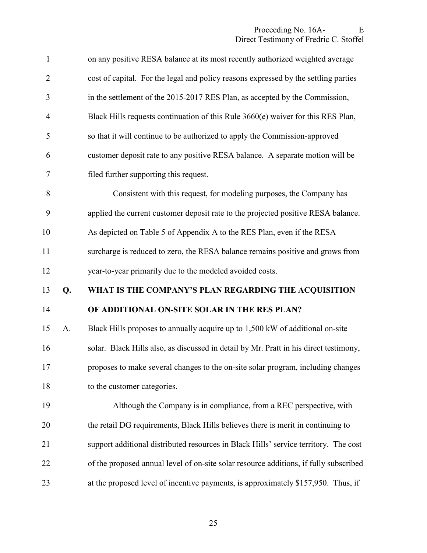| $\mathbf{1}$   |    | on any positive RESA balance at its most recently authorized weighted average         |
|----------------|----|---------------------------------------------------------------------------------------|
| $\overline{2}$ |    | cost of capital. For the legal and policy reasons expressed by the settling parties   |
| 3              |    | in the settlement of the 2015-2017 RES Plan, as accepted by the Commission,           |
| $\overline{4}$ |    | Black Hills requests continuation of this Rule 3660(e) waiver for this RES Plan,      |
| 5              |    | so that it will continue to be authorized to apply the Commission-approved            |
| 6              |    | customer deposit rate to any positive RESA balance. A separate motion will be         |
| $\overline{7}$ |    | filed further supporting this request.                                                |
| 8              |    | Consistent with this request, for modeling purposes, the Company has                  |
| 9              |    | applied the current customer deposit rate to the projected positive RESA balance.     |
| 10             |    | As depicted on Table 5 of Appendix A to the RES Plan, even if the RESA                |
| 11             |    | surcharge is reduced to zero, the RESA balance remains positive and grows from        |
| 12             |    | year-to-year primarily due to the modeled avoided costs.                              |
| 13             | Q. | WHAT IS THE COMPANY'S PLAN REGARDING THE ACQUISITION                                  |
| 14             |    | OF ADDITIONAL ON-SITE SOLAR IN THE RES PLAN?                                          |
| 15             | A. | Black Hills proposes to annually acquire up to 1,500 kW of additional on-site         |
| 16             |    | solar. Black Hills also, as discussed in detail by Mr. Pratt in his direct testimony, |
| 17             |    | proposes to make several changes to the on-site solar program, including changes      |
| 18             |    | to the customer categories.                                                           |
| 19             |    | Although the Company is in compliance, from a REC perspective, with                   |
| 20             |    | the retail DG requirements, Black Hills believes there is merit in continuing to      |
| 21             |    | support additional distributed resources in Black Hills' service territory. The cost  |
| 22             |    | of the proposed annual level of on-site solar resource additions, if fully subscribed |
| 23             |    | at the proposed level of incentive payments, is approximately \$157,950. Thus, if     |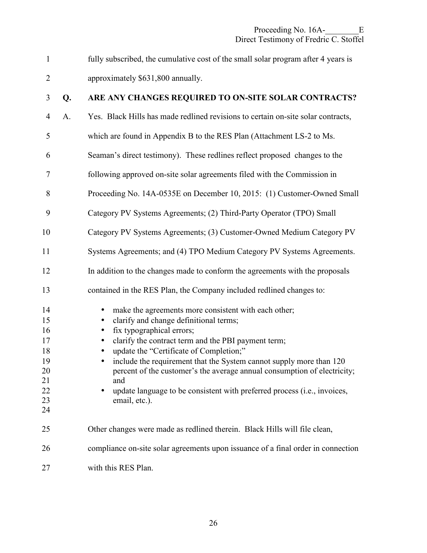| fully subscribed, the cumulative cost of the small solar program after 4 years is |
|-----------------------------------------------------------------------------------|
| approximately \$631,800 annually.                                                 |

### 3 **Q. ARE ANY CHANGES REQUIRED TO ON-SITE SOLAR CONTRACTS?**  4 A. Yes. Black Hills has made redlined revisions to certain on-site solar contracts, 5 which are found in Appendix B to the RES Plan (Attachment LS-2 to Ms. 6 Seaman's direct testimony). These redlines reflect proposed changes to the 7 following approved on-site solar agreements filed with the Commission in 8 Proceeding No. 14A-0535E on December 10, 2015: (1) Customer-Owned Small 9 Category PV Systems Agreements; (2) Third-Party Operator (TPO) Small 10 Category PV Systems Agreements; (3) Customer-Owned Medium Category PV 11 Systems Agreements; and (4) TPO Medium Category PV Systems Agreements. 12 In addition to the changes made to conform the agreements with the proposals 13 contained in the RES Plan, the Company included redlined changes to: 14 • make the agreements more consistent with each other; 15 • clarify and change definitional terms; 16 • fix typographical errors; 17 • clarify the contract term and the PBI payment term; 18 • update the "Certificate of Completion;" 19 • include the requirement that the System cannot supply more than 120 20 percent of the customer's the average annual consumption of electricity; 21 and 22 • update language to be consistent with preferred process (i.e., invoices, 23 email, etc.). 24 25 Other changes were made as redlined therein. Black Hills will file clean, 26 compliance on-site solar agreements upon issuance of a final order in connection 27 with this RES Plan.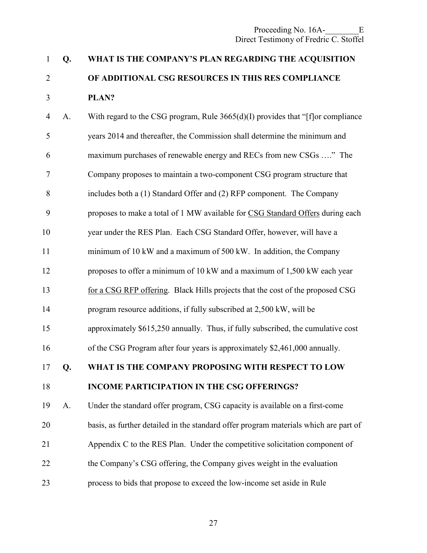### 1 **Q. WHAT IS THE COMPANY'S PLAN REGARDING THE ACQUISITION**  2 **OF ADDITIONAL CSG RESOURCES IN THIS RES COMPLIANCE**  3 **PLAN?**

4 A. With regard to the CSG program, Rule 3665(d)(I) provides that "[f]or compliance 5 years 2014 and thereafter, the Commission shall determine the minimum and 6 maximum purchases of renewable energy and RECs from new CSGs …." The 7 Company proposes to maintain a two-component CSG program structure that 8 includes both a (1) Standard Offer and (2) RFP component. The Company 9 proposes to make a total of 1 MW available for CSG Standard Offers during each 10 year under the RES Plan. Each CSG Standard Offer, however, will have a 11 minimum of 10 kW and a maximum of 500 kW. In addition, the Company 12 proposes to offer a minimum of 10 kW and a maximum of 1,500 kW each year 13 for a CSG RFP offering. Black Hills projects that the cost of the proposed CSG 14 program resource additions, if fully subscribed at 2,500 kW, will be 15 approximately \$615,250 annually. Thus, if fully subscribed, the cumulative cost 16 of the CSG Program after four years is approximately \$2,461,000 annually. 17 **Q. WHAT IS THE COMPANY PROPOSING WITH RESPECT TO LOW**  18 **INCOME PARTICIPATION IN THE CSG OFFERINGS?**  19 A. Under the standard offer program, CSG capacity is available on a first-come 20 basis, as further detailed in the standard offer program materials which are part of 21 Appendix C to the RES Plan. Under the competitive solicitation component of 22 the Company's CSG offering, the Company gives weight in the evaluation 23 process to bids that propose to exceed the low-income set aside in Rule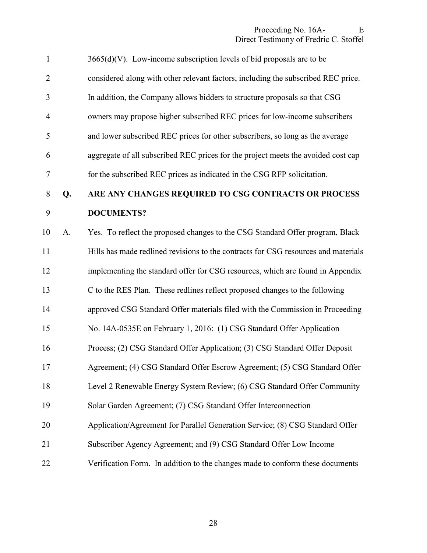| $\mathbf{1}$   |    | $3665(d)(V)$ . Low-income subscription levels of bid proposals are to be           |
|----------------|----|------------------------------------------------------------------------------------|
| $\overline{2}$ |    | considered along with other relevant factors, including the subscribed REC price.  |
| 3              |    | In addition, the Company allows bidders to structure proposals so that CSG         |
| $\overline{4}$ |    | owners may propose higher subscribed REC prices for low-income subscribers         |
| 5              |    | and lower subscribed REC prices for other subscribers, so long as the average      |
| 6              |    | aggregate of all subscribed REC prices for the project meets the avoided cost cap  |
| $\overline{7}$ |    | for the subscribed REC prices as indicated in the CSG RFP solicitation.            |
| $8\,$          | Q. | ARE ANY CHANGES REQUIRED TO CSG CONTRACTS OR PROCESS                               |
| 9              |    | <b>DOCUMENTS?</b>                                                                  |
| 10             | A. | Yes. To reflect the proposed changes to the CSG Standard Offer program, Black      |
| 11             |    | Hills has made redlined revisions to the contracts for CSG resources and materials |
| 12             |    | implementing the standard offer for CSG resources, which are found in Appendix     |
| 13             |    | C to the RES Plan. These redlines reflect proposed changes to the following        |
| 14             |    | approved CSG Standard Offer materials filed with the Commission in Proceeding      |
| 15             |    | No. 14A-0535E on February 1, 2016: (1) CSG Standard Offer Application              |
| 16             |    | Process; (2) CSG Standard Offer Application; (3) CSG Standard Offer Deposit        |
| 17             |    | Agreement; (4) CSG Standard Offer Escrow Agreement; (5) CSG Standard Offer         |
| 18             |    | Level 2 Renewable Energy System Review; (6) CSG Standard Offer Community           |
| 19             |    | Solar Garden Agreement; (7) CSG Standard Offer Interconnection                     |
| 20             |    | Application/Agreement for Parallel Generation Service; (8) CSG Standard Offer      |
| 21             |    | Subscriber Agency Agreement; and (9) CSG Standard Offer Low Income                 |
| 22             |    | Verification Form. In addition to the changes made to conform these documents      |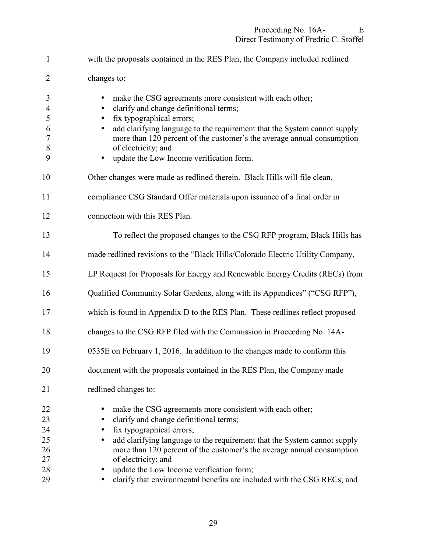| $\mathbf{1}$                                              | with the proposals contained in the RES Plan, the Company included redlined                                                                                                                                                                                                                                                                                                                                                         |
|-----------------------------------------------------------|-------------------------------------------------------------------------------------------------------------------------------------------------------------------------------------------------------------------------------------------------------------------------------------------------------------------------------------------------------------------------------------------------------------------------------------|
| $\overline{2}$                                            | changes to:                                                                                                                                                                                                                                                                                                                                                                                                                         |
| 3<br>$\overline{4}$<br>5<br>6<br>$\overline{7}$<br>8<br>9 | make the CSG agreements more consistent with each other;<br>clarify and change definitional terms;<br>$\bullet$<br>fix typographical errors;<br>add clarifying language to the requirement that the System cannot supply<br>more than 120 percent of the customer's the average annual consumption<br>of electricity; and<br>update the Low Income verification form.<br>$\bullet$                                                  |
| 10                                                        | Other changes were made as redlined therein. Black Hills will file clean,                                                                                                                                                                                                                                                                                                                                                           |
| 11                                                        | compliance CSG Standard Offer materials upon issuance of a final order in                                                                                                                                                                                                                                                                                                                                                           |
| 12                                                        | connection with this RES Plan.                                                                                                                                                                                                                                                                                                                                                                                                      |
| 13                                                        | To reflect the proposed changes to the CSG RFP program, Black Hills has                                                                                                                                                                                                                                                                                                                                                             |
| 14                                                        | made redlined revisions to the "Black Hills/Colorado Electric Utility Company,                                                                                                                                                                                                                                                                                                                                                      |
| 15                                                        | LP Request for Proposals for Energy and Renewable Energy Credits (RECs) from                                                                                                                                                                                                                                                                                                                                                        |
| 16                                                        | Qualified Community Solar Gardens, along with its Appendices" ("CSG RFP"),                                                                                                                                                                                                                                                                                                                                                          |
| 17                                                        | which is found in Appendix D to the RES Plan. These redlines reflect proposed                                                                                                                                                                                                                                                                                                                                                       |
| 18                                                        | changes to the CSG RFP filed with the Commission in Proceeding No. 14A-                                                                                                                                                                                                                                                                                                                                                             |
| 19                                                        | 0535E on February 1, 2016. In addition to the changes made to conform this                                                                                                                                                                                                                                                                                                                                                          |
| 20                                                        | document with the proposals contained in the RES Plan, the Company made                                                                                                                                                                                                                                                                                                                                                             |
| 21                                                        | redlined changes to:                                                                                                                                                                                                                                                                                                                                                                                                                |
| 22<br>23<br>24<br>25<br>26<br>27<br>28<br>29              | make the CSG agreements more consistent with each other;<br>clarify and change definitional terms;<br>fix typographical errors;<br>add clarifying language to the requirement that the System cannot supply<br>more than 120 percent of the customer's the average annual consumption<br>of electricity; and<br>update the Low Income verification form;<br>clarify that environmental benefits are included with the CSG RECs; and |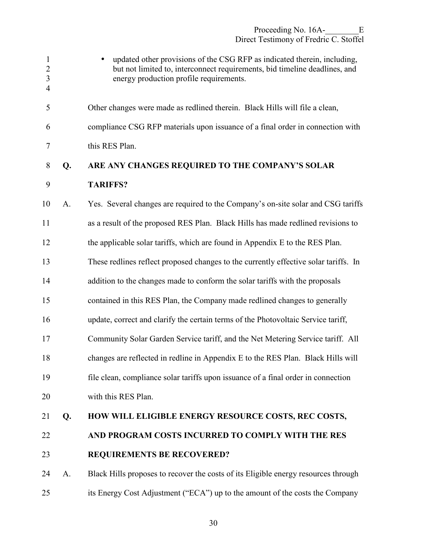| $\mathbf{1}$<br>$\sqrt{2}$<br>$\overline{3}$<br>$\overline{4}$ |    | updated other provisions of the CSG RFP as indicated therein, including,<br>but not limited to, interconnect requirements, bid timeline deadlines, and<br>energy production profile requirements. |
|----------------------------------------------------------------|----|---------------------------------------------------------------------------------------------------------------------------------------------------------------------------------------------------|
| 5                                                              |    | Other changes were made as redlined therein. Black Hills will file a clean,                                                                                                                       |
| 6                                                              |    | compliance CSG RFP materials upon issuance of a final order in connection with                                                                                                                    |
| 7                                                              |    | this RES Plan.                                                                                                                                                                                    |
| 8                                                              | Q. | ARE ANY CHANGES REQUIRED TO THE COMPANY'S SOLAR                                                                                                                                                   |
| 9                                                              |    | <b>TARIFFS?</b>                                                                                                                                                                                   |
| 10                                                             | A. | Yes. Several changes are required to the Company's on-site solar and CSG tariffs                                                                                                                  |
| 11                                                             |    | as a result of the proposed RES Plan. Black Hills has made redlined revisions to                                                                                                                  |
| 12                                                             |    | the applicable solar tariffs, which are found in Appendix E to the RES Plan.                                                                                                                      |
| 13                                                             |    | These redlines reflect proposed changes to the currently effective solar tariffs. In                                                                                                              |
| 14                                                             |    | addition to the changes made to conform the solar tariffs with the proposals                                                                                                                      |
| 15                                                             |    | contained in this RES Plan, the Company made redlined changes to generally                                                                                                                        |
| 16                                                             |    | update, correct and clarify the certain terms of the Photovoltaic Service tariff,                                                                                                                 |
| 17                                                             |    | Community Solar Garden Service tariff, and the Net Metering Service tariff. All                                                                                                                   |
| 18                                                             |    | changes are reflected in redline in Appendix E to the RES Plan. Black Hills will                                                                                                                  |
| 19                                                             |    | file clean, compliance solar tariffs upon issuance of a final order in connection                                                                                                                 |
| 20                                                             |    | with this RES Plan.                                                                                                                                                                               |
| 21                                                             | Q. | HOW WILL ELIGIBLE ENERGY RESOURCE COSTS, REC COSTS,                                                                                                                                               |
| 22                                                             |    | AND PROGRAM COSTS INCURRED TO COMPLY WITH THE RES                                                                                                                                                 |
| 23                                                             |    | <b>REQUIREMENTS BE RECOVERED?</b>                                                                                                                                                                 |
| 24                                                             | A. | Black Hills proposes to recover the costs of its Eligible energy resources through                                                                                                                |
| 25                                                             |    | its Energy Cost Adjustment ("ECA") up to the amount of the costs the Company                                                                                                                      |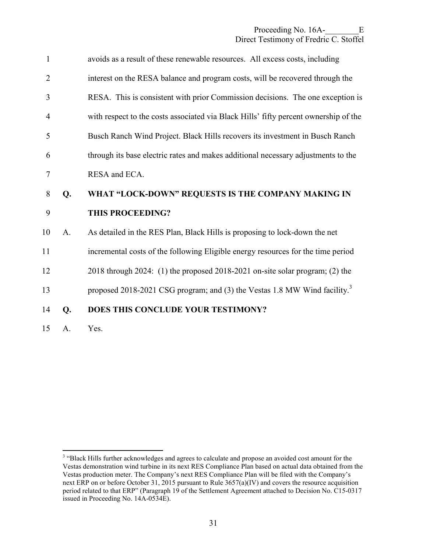| $\mathbf{1}$   |    | avoids as a result of these renewable resources. All excess costs, including          |
|----------------|----|---------------------------------------------------------------------------------------|
| $\overline{2}$ |    | interest on the RESA balance and program costs, will be recovered through the         |
| 3              |    | RESA. This is consistent with prior Commission decisions. The one exception is        |
| $\overline{4}$ |    | with respect to the costs associated via Black Hills' fifty percent ownership of the  |
| 5              |    | Busch Ranch Wind Project. Black Hills recovers its investment in Busch Ranch          |
| 6              |    | through its base electric rates and makes additional necessary adjustments to the     |
| $\tau$         |    | RESA and ECA.                                                                         |
| 8              | Q. | WHAT "LOCK-DOWN" REQUESTS IS THE COMPANY MAKING IN                                    |
| 9              |    | THIS PROCEEDING?                                                                      |
| 10             | A. | As detailed in the RES Plan, Black Hills is proposing to lock-down the net            |
| 11             |    | incremental costs of the following Eligible energy resources for the time period      |
| 12             |    | 2018 through 2024: (1) the proposed 2018-2021 on-site solar program; (2) the          |
| 13             |    | proposed 2018-2021 CSG program; and (3) the Vestas 1.8 MW Wind facility. <sup>3</sup> |
| 14             | Q. | DOES THIS CONCLUDE YOUR TESTIMONY?                                                    |
| 15             | A. | Yes.                                                                                  |

<sup>&</sup>lt;sup>3</sup> "Black Hills further acknowledges and agrees to calculate and propose an avoided cost amount for the Vestas demonstration wind turbine in its next RES Compliance Plan based on actual data obtained from the Vestas production meter. The Company's next RES Compliance Plan will be filed with the Company's next ERP on or before October 31, 2015 pursuant to Rule 3657(a)(IV) and covers the resource acquisition period related to that ERP" (Paragraph 19 of the Settlement Agreement attached to Decision No. C15-0317 issued in Proceeding No. 14A-0534E).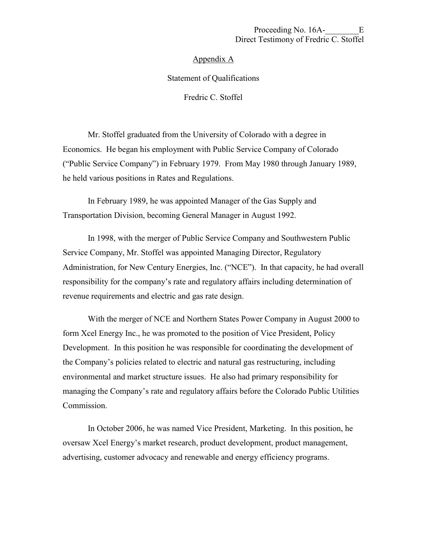#### Appendix A

#### Statement of Qualifications

Fredric C. Stoffel

Mr. Stoffel graduated from the University of Colorado with a degree in Economics. He began his employment with Public Service Company of Colorado ("Public Service Company") in February 1979. From May 1980 through January 1989, he held various positions in Rates and Regulations.

In February 1989, he was appointed Manager of the Gas Supply and Transportation Division, becoming General Manager in August 1992.

In 1998, with the merger of Public Service Company and Southwestern Public Service Company, Mr. Stoffel was appointed Managing Director, Regulatory Administration, for New Century Energies, Inc. ("NCE"). In that capacity, he had overall responsibility for the company's rate and regulatory affairs including determination of revenue requirements and electric and gas rate design.

With the merger of NCE and Northern States Power Company in August 2000 to form Xcel Energy Inc., he was promoted to the position of Vice President, Policy Development. In this position he was responsible for coordinating the development of the Company's policies related to electric and natural gas restructuring, including environmental and market structure issues. He also had primary responsibility for managing the Company's rate and regulatory affairs before the Colorado Public Utilities Commission.

In October 2006, he was named Vice President, Marketing. In this position, he oversaw Xcel Energy's market research, product development, product management, advertising, customer advocacy and renewable and energy efficiency programs.